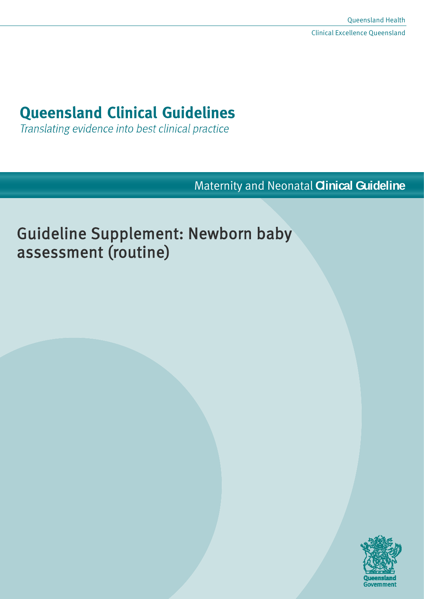# **Queensland Clinical Guidelines**

Translating evidence into best clinical practice

Maternity and Neonatal **Clinical Guideline**

# Guideline Supplement: Newborn baby assessment (routine)

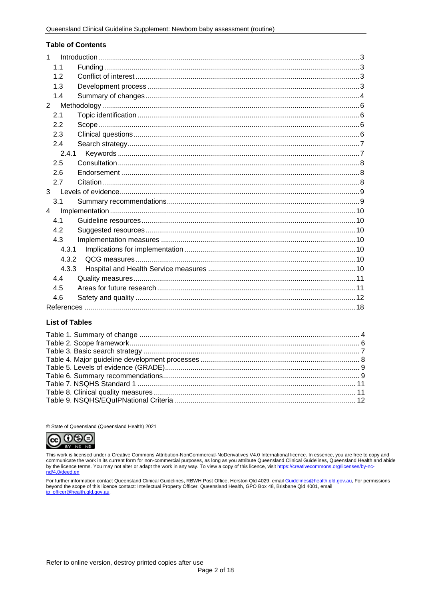#### **Table of Contents**

| $\mathbf{1}$   |  |
|----------------|--|
| 1.1            |  |
| 1.2            |  |
| 1.3            |  |
| 1.4            |  |
| $2^{\circ}$    |  |
| 2.1            |  |
| 2.2            |  |
| 2.3            |  |
| 2.4            |  |
| 2.4.1          |  |
| 2.5            |  |
| 2.6            |  |
| 2.7            |  |
|                |  |
| 3.1            |  |
| $\overline{4}$ |  |
| 4.1            |  |
| 4.2            |  |
| 4.3            |  |
| 4.3.1          |  |
| 4.3.2          |  |
| 4.3.3          |  |
| 4.4            |  |
| 4.5            |  |
| 4.6            |  |
|                |  |

#### **List of Tables**

© State of Queensland (Queensland Health) 2021



This work is licensed under a Creative Commons Attribution-NonCommercial-NoDerivatives V4.0 International licence. In essence, you are free to copy and communicate the work in its current form for non-commercial purposes, as long as you attribute Queensland Clinical Guidelines, Queensland Health and abide<br>by the licence terms. You may not alter or adapt the work in any wa nd/4.0/deed.en

For further information contact Queensland Clinical Guidelines, RBWH Post Office, Herston Qld 4029, email <u>Guidelines@health.qld.gov.au</u>, For permissions<br>beyond the scope of this licence contact: Intellectual Property Offi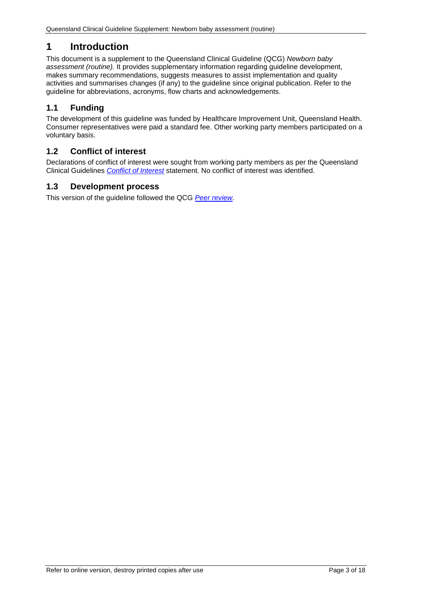# <span id="page-2-0"></span>**1 Introduction**

This document is a supplement to the Queensland Clinical Guideline (QCG) *Newborn baby assessment (routine).* It provides supplementary information regarding guideline development, makes summary recommendations, suggests measures to assist implementation and quality activities and summarises changes (if any) to the guideline since original publication. Refer to the guideline for abbreviations, acronyms, flow charts and acknowledgements.

# <span id="page-2-1"></span>**1.1 Funding**

The development of this guideline was funded by Healthcare Improvement Unit, Queensland Health. Consumer representatives were paid a standard fee. Other working party members participated on a voluntary basis.

## <span id="page-2-2"></span>**1.2 Conflict of interest**

Declarations of conflict of interest were sought from working party members as per the Queensland Clinical Guidelines *[Conflict of Interest](http://www.health.qld.gov.au/qcg/development#coi)* statement. No conflict of interest was identified.

#### <span id="page-2-3"></span>**1.3 Development process**

This version of the guideline followed the QCG *[Peer review.](https://www.health.qld.gov.au/qcg/development)*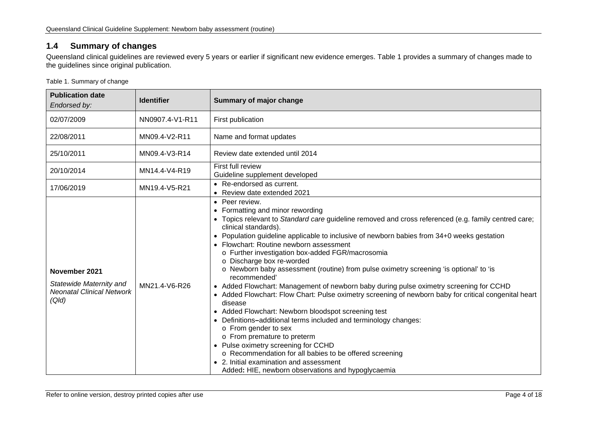# **1.4 Summary of changes**

Queensland clinical guidelines are reviewed every 5 years or earlier if significant new evidence emerges. [Table 1](#page-3-2) provides a summary of changes made to the guidelines since original publication.

<span id="page-3-2"></span>Table 1. Summary of change

<span id="page-3-1"></span><span id="page-3-0"></span>

| <b>Publication date</b><br>Endorsed by:                                               | <b>Identifier</b> | Summary of major change                                                                                                                                                                                                                                                                                                                                                                                                                                                                                                                                                                                                                                                                                                                                                                                                                                                                                                                                                                                                                                                                                                   |
|---------------------------------------------------------------------------------------|-------------------|---------------------------------------------------------------------------------------------------------------------------------------------------------------------------------------------------------------------------------------------------------------------------------------------------------------------------------------------------------------------------------------------------------------------------------------------------------------------------------------------------------------------------------------------------------------------------------------------------------------------------------------------------------------------------------------------------------------------------------------------------------------------------------------------------------------------------------------------------------------------------------------------------------------------------------------------------------------------------------------------------------------------------------------------------------------------------------------------------------------------------|
| 02/07/2009                                                                            | NN0907.4-V1-R11   | First publication                                                                                                                                                                                                                                                                                                                                                                                                                                                                                                                                                                                                                                                                                                                                                                                                                                                                                                                                                                                                                                                                                                         |
| 22/08/2011                                                                            | MN09.4-V2-R11     | Name and format updates                                                                                                                                                                                                                                                                                                                                                                                                                                                                                                                                                                                                                                                                                                                                                                                                                                                                                                                                                                                                                                                                                                   |
| 25/10/2011                                                                            | MN09.4-V3-R14     | Review date extended until 2014                                                                                                                                                                                                                                                                                                                                                                                                                                                                                                                                                                                                                                                                                                                                                                                                                                                                                                                                                                                                                                                                                           |
| 20/10/2014                                                                            | MN14.4-V4-R19     | First full review<br>Guideline supplement developed                                                                                                                                                                                                                                                                                                                                                                                                                                                                                                                                                                                                                                                                                                                                                                                                                                                                                                                                                                                                                                                                       |
| 17/06/2019                                                                            | MN19.4-V5-R21     | • Re-endorsed as current.<br>• Review date extended 2021                                                                                                                                                                                                                                                                                                                                                                                                                                                                                                                                                                                                                                                                                                                                                                                                                                                                                                                                                                                                                                                                  |
| November 2021<br>Statewide Maternity and<br><b>Neonatal Clinical Network</b><br>(Qld) | MN21.4-V6-R26     | • Peer review.<br>• Formatting and minor rewording<br>• Topics relevant to Standard care guideline removed and cross referenced (e.g. family centred care;<br>clinical standards).<br>• Population guideline applicable to inclusive of newborn babies from 34+0 weeks gestation<br>• Flowchart: Routine newborn assessment<br>o Further investigation box-added FGR/macrosomia<br>o Discharge box re-worded<br>o Newborn baby assessment (routine) from pulse oximetry screening 'is optional' to 'is<br>recommended'<br>• Added Flowchart: Management of newborn baby during pulse oximetry screening for CCHD<br>• Added Flowchart: Flow Chart: Pulse oximetry screening of newborn baby for critical congenital heart<br>disease<br>• Added Flowchart: Newborn bloodspot screening test<br>• Definitions-additional terms included and terminology changes:<br>o From gender to sex<br>o From premature to preterm<br>• Pulse oximetry screening for CCHD<br>o Recommendation for all babies to be offered screening<br>• 2. Initial examination and assessment<br>Added: HIE, newborn observations and hypoglycaemia |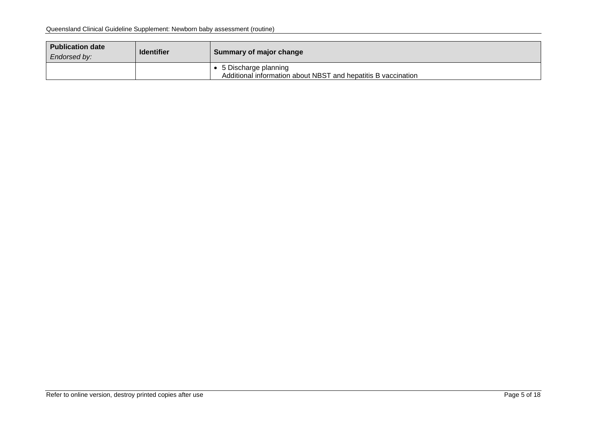| <b>Publication date</b><br>Endorsed by: | <b>Identifier</b> | Summary of major change                                                                 |
|-----------------------------------------|-------------------|-----------------------------------------------------------------------------------------|
|                                         |                   | ● 5 Discharge planning<br>Additional information about NBST and hepatitis B vaccination |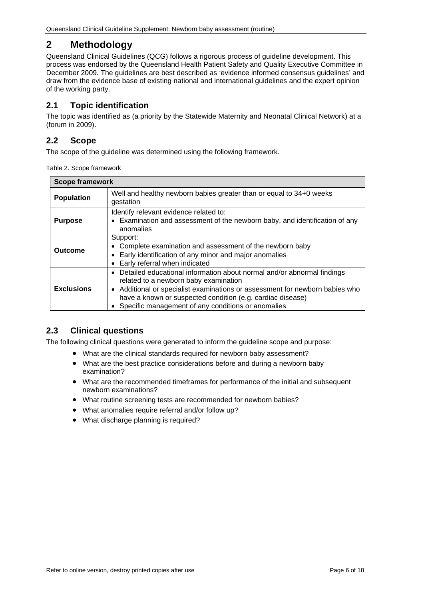# <span id="page-5-0"></span>**2 Methodology**

Queensland Clinical Guidelines (QCG) follows a rigorous process of guideline development. This process was endorsed by the Queensland Health Patient Safety and Quality Executive Committee in December 2009. The guidelines are best described as 'evidence informed consensus guidelines' and draw from the evidence base of existing national and international guidelines and the expert opinion of the working party.

# <span id="page-5-1"></span>**2.1 Topic identification**

The topic was identified as (a priority by the Statewide Maternity and Neonatal Clinical Network) at a (forum in 2009).

# <span id="page-5-2"></span>**2.2 Scope**

<span id="page-5-4"></span>The scope of the guideline was determined using the following framework.

| Table 2. Scope framework |  |
|--------------------------|--|
|--------------------------|--|

| <b>Scope framework</b> |                                                                                                                                                                                                                                                                                                                     |
|------------------------|---------------------------------------------------------------------------------------------------------------------------------------------------------------------------------------------------------------------------------------------------------------------------------------------------------------------|
| <b>Population</b>      | Well and healthy newborn babies greater than or equal to 34+0 weeks<br>gestation                                                                                                                                                                                                                                    |
| <b>Purpose</b>         | Identify relevant evidence related to:<br>• Examination and assessment of the newborn baby, and identification of any<br>anomalies                                                                                                                                                                                  |
| Outcome                | Support:<br>• Complete examination and assessment of the newborn baby<br>• Early identification of any minor and major anomalies<br>• Early referral when indicated                                                                                                                                                 |
| <b>Exclusions</b>      | Detailed educational information about normal and/or abnormal findings<br>related to a newborn baby examination<br>• Additional or specialist examinations or assessment for newborn babies who<br>have a known or suspected condition (e.g. cardiac disease)<br>Specific management of any conditions or anomalies |

## <span id="page-5-3"></span>**2.3 Clinical questions**

The following clinical questions were generated to inform the guideline scope and purpose:

- What are the clinical standards required for newborn baby assessment?
- What are the best practice considerations before and during a newborn baby examination?
- What are the recommended timeframes for performance of the initial and subsequent newborn examinations?
- What routine screening tests are recommended for newborn babies?
- What anomalies require referral and/or follow up?
- What discharge planning is required?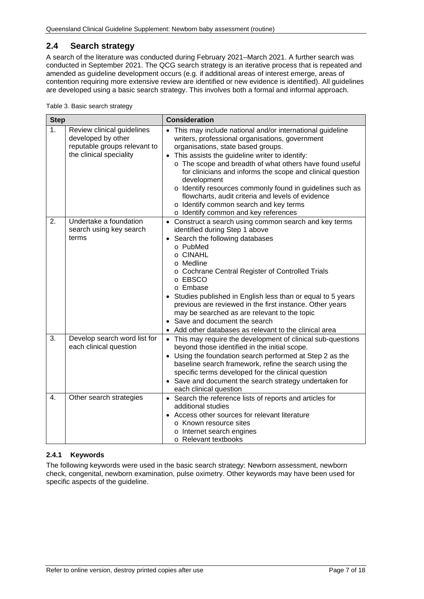# <span id="page-6-0"></span>**2.4 Search strategy**

A search of the literature was conducted during February 2021–March 2021. A further search was conducted in September 2021. The QCG search strategy is an iterative process that is repeated and amended as guideline development occurs (e.g. if additional areas of interest emerge, areas of contention requiring more extensive review are identified or new evidence is identified). All guidelines are developed using a basic search strategy. This involves both a formal and informal approach.

<span id="page-6-2"></span>

| Table 3. Basic search strategy |  |  |  |
|--------------------------------|--|--|--|
|--------------------------------|--|--|--|

| <b>Step</b> |                                                                                                             | <b>Consideration</b>                                                                                                                                                                                                                                                                                                                                                                                                                                                                                                                                            |  |  |
|-------------|-------------------------------------------------------------------------------------------------------------|-----------------------------------------------------------------------------------------------------------------------------------------------------------------------------------------------------------------------------------------------------------------------------------------------------------------------------------------------------------------------------------------------------------------------------------------------------------------------------------------------------------------------------------------------------------------|--|--|
| 1.          | Review clinical guidelines<br>developed by other<br>reputable groups relevant to<br>the clinical speciality | This may include national and/or international guideline<br>$\bullet$<br>writers, professional organisations, government<br>organisations, state based groups.<br>• This assists the guideline writer to identify:<br>o The scope and breadth of what others have found useful<br>for clinicians and informs the scope and clinical question<br>development<br>o Identify resources commonly found in guidelines such as<br>flowcharts, audit criteria and levels of evidence<br>o Identify common search and key terms<br>o Identify common and key references |  |  |
| 2.          | Undertake a foundation<br>search using key search<br>terms                                                  | • Construct a search using common search and key terms<br>identified during Step 1 above<br>Search the following databases<br>$\bullet$<br>o PubMed<br>o CINAHL<br>o Medline<br>o Cochrane Central Register of Controlled Trials<br>o EBSCO<br>o Embase<br>Studies published in English less than or equal to 5 years<br>previous are reviewed in the first instance. Other years<br>may be searched as are relevant to the topic<br>• Save and document the search<br>Add other databases as relevant to the clinical area                                     |  |  |
| 3.          | Develop search word list for<br>each clinical question                                                      | • This may require the development of clinical sub-questions<br>beyond those identified in the initial scope.<br>• Using the foundation search performed at Step 2 as the<br>baseline search framework, refine the search using the<br>specific terms developed for the clinical question<br>• Save and document the search strategy undertaken for<br>each clinical question                                                                                                                                                                                   |  |  |
| 4.          | Other search strategies                                                                                     | • Search the reference lists of reports and articles for<br>additional studies<br>Access other sources for relevant literature<br>o Known resource sites<br>o Internet search engines<br>o Relevant textbooks                                                                                                                                                                                                                                                                                                                                                   |  |  |

#### <span id="page-6-1"></span>**2.4.1 Keywords**

The following keywords were used in the basic search strategy: Newborn assessment, newborn check, congenital, newborn examination, pulse oximetry. Other keywords may have been used for specific aspects of the guideline.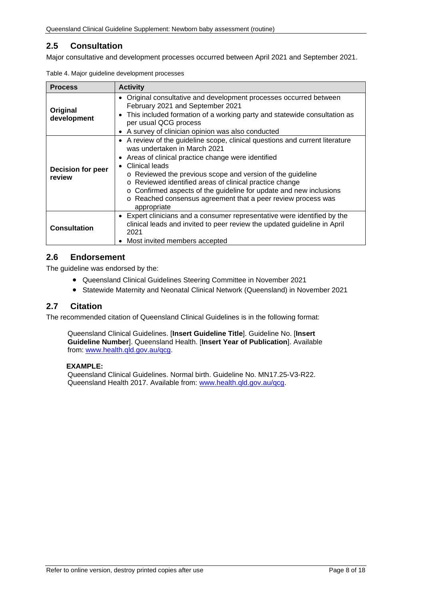# <span id="page-7-0"></span>**2.5 Consultation**

<span id="page-7-3"></span>Major consultative and development processes occurred between April 2021 and September 2021.

| <b>Activity</b><br><b>Process</b>  |                                                                                                                                                                                                                                                                                                                                                                                                                                                                                  |
|------------------------------------|----------------------------------------------------------------------------------------------------------------------------------------------------------------------------------------------------------------------------------------------------------------------------------------------------------------------------------------------------------------------------------------------------------------------------------------------------------------------------------|
| Original<br>development            | • Original consultative and development processes occurred between<br>February 2021 and September 2021<br>This included formation of a working party and statewide consultation as<br>$\bullet$<br>per usual QCG process<br>• A survey of clinician opinion was also conducted                                                                                                                                                                                                   |
| <b>Decision for peer</b><br>review | • A review of the guideline scope, clinical questions and current literature<br>was undertaken in March 2021<br>• Areas of clinical practice change were identified<br>Clinical leads<br>$\bullet$<br>o Reviewed the previous scope and version of the guideline<br>o Reviewed identified areas of clinical practice change<br>o Confirmed aspects of the guideline for update and new inclusions<br>o Reached consensus agreement that a peer review process was<br>appropriate |
| <b>Consultation</b>                | Expert clinicians and a consumer representative were identified by the<br>٠<br>clinical leads and invited to peer review the updated guideline in April<br>2021<br>Most invited members accepted<br>٠                                                                                                                                                                                                                                                                            |

| Table 4. Major guideline development processes |  |  |  |  |  |
|------------------------------------------------|--|--|--|--|--|
|------------------------------------------------|--|--|--|--|--|

#### <span id="page-7-1"></span>**2.6 Endorsement**

The guideline was endorsed by the:

- Queensland Clinical Guidelines Steering Committee in November 2021
- Statewide Maternity and Neonatal Clinical Network (Queensland) in November 2021

#### <span id="page-7-2"></span>**2.7 Citation**

The recommended citation of Queensland Clinical Guidelines is in the following format:

Queensland Clinical Guidelines. [**Insert Guideline Title**]. Guideline No. [**Insert Guideline Number**]. Queensland Health. [**Insert Year of Publication**]. Available from: [www.health.qld.gov.au/qcg.](http://www.health.qld.gov.au/qcg)

#### **EXAMPLE:**

Queensland Clinical Guidelines. Normal birth. Guideline No. MN17.25-V3-R22. Queensland Health 2017. Available from: [www.health.qld.gov.au/qcg.](http://www.health.qld.gov.au/qcg)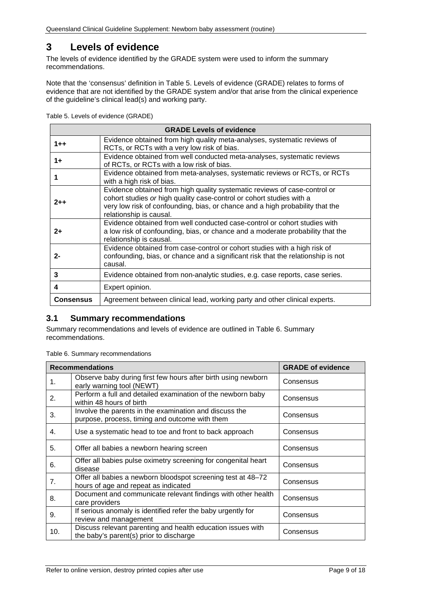# <span id="page-8-0"></span>**3 Levels of evidence**

The levels of evidence identified by the GRADE system were used to inform the summary recommendations.

Note that the 'consensus' definition in [Table 5. Levels of evidence \(GRADE\)](#page-8-2) relates to forms of evidence that are not identified by the GRADE system and/or that arise from the clinical experience of the guideline's clinical lead(s) and working party.

<span id="page-8-2"></span>Table 5. Levels of evidence (GRADE)

|                  | <b>GRADE Levels of evidence</b>                                                                                                                                                                                                                               |
|------------------|---------------------------------------------------------------------------------------------------------------------------------------------------------------------------------------------------------------------------------------------------------------|
| $1 + +$          | Evidence obtained from high quality meta-analyses, systematic reviews of<br>RCTs, or RCTs with a very low risk of bias.                                                                                                                                       |
| $1+$             | Evidence obtained from well conducted meta-analyses, systematic reviews<br>of RCTs, or RCTs with a low risk of bias.                                                                                                                                          |
|                  | Evidence obtained from meta-analyses, systematic reviews or RCTs, or RCTs<br>with a high risk of bias.                                                                                                                                                        |
| $2 + +$          | Evidence obtained from high quality systematic reviews of case-control or<br>cohort studies or high quality case-control or cohort studies with a<br>very low risk of confounding, bias, or chance and a high probability that the<br>relationship is causal. |
| $2+$             | Evidence obtained from well conducted case-control or cohort studies with<br>a low risk of confounding, bias, or chance and a moderate probability that the<br>relationship is causal.                                                                        |
| $2 -$            | Evidence obtained from case-control or cohort studies with a high risk of<br>confounding, bias, or chance and a significant risk that the relationship is not<br>causal.                                                                                      |
| 3                | Evidence obtained from non-analytic studies, e.g. case reports, case series.                                                                                                                                                                                  |
| 4                | Expert opinion.                                                                                                                                                                                                                                               |
| <b>Consensus</b> | Agreement between clinical lead, working party and other clinical experts.                                                                                                                                                                                    |

## <span id="page-8-1"></span>**3.1 Summary recommendations**

Summary recommendations and levels of evidence are outlined in Table 6. [Summary](#page-8-3)  [recommendations.](#page-8-3)

<span id="page-8-3"></span>Table 6. Summary recommendations

|                | <b>Recommendations</b>                                                                                   | <b>GRADE of evidence</b> |
|----------------|----------------------------------------------------------------------------------------------------------|--------------------------|
| 1.             | Observe baby during first few hours after birth using newborn<br>early warning tool (NEWT)               | Consensus                |
| 2.             | Perform a full and detailed examination of the newborn baby<br>within 48 hours of birth                  | Consensus                |
| 3.             | Involve the parents in the examination and discuss the<br>purpose, process, timing and outcome with them | Consensus                |
| 4.             | Use a systematic head to toe and front to back approach                                                  | Consensus                |
| 5.             | Offer all babies a newborn hearing screen                                                                | Consensus                |
| 6.             | Offer all babies pulse oximetry screening for congenital heart<br>disease                                | Consensus                |
| 7 <sub>1</sub> | Offer all babies a newborn bloodspot screening test at 48–72<br>hours of age and repeat as indicated     | Consensus                |
| 8.             | Document and communicate relevant findings with other health<br>care providers                           | Consensus                |
| 9.             | If serious anomaly is identified refer the baby urgently for<br>review and management                    | Consensus                |
| 10.            | Discuss relevant parenting and health education issues with<br>the baby's parent(s) prior to discharge   | Consensus                |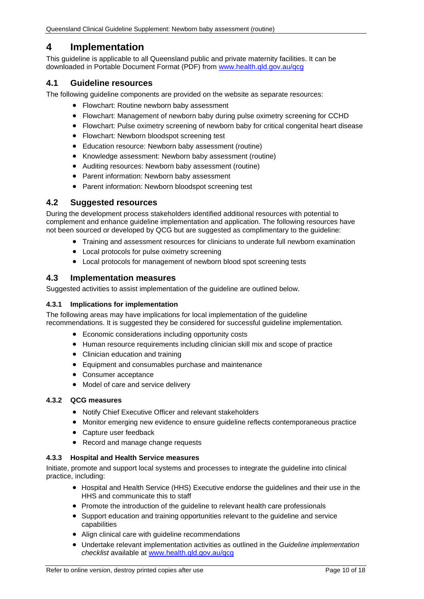# <span id="page-9-0"></span>**4 Implementation**

This guideline is applicable to all Queensland public and private maternity facilities. It can be downloaded in Portable Document Format (PDF) from [www.health.qld.gov.au/qcg](http://www.health.qld.gov.au/qcg)

#### <span id="page-9-1"></span>**4.1 Guideline resources**

The following guideline components are provided on the website as separate resources:

- Flowchart: Routine newborn baby assessment
- Flowchart: Management of newborn baby during pulse oximetry screening for CCHD
- Flowchart: Pulse oximetry screening of newborn baby for critical congenital heart disease
- Flowchart: Newborn bloodspot screening test
- Education resource: Newborn baby assessment (routine)
- Knowledge assessment: Newborn baby assessment (routine)
- Auditing resources: Newborn baby assessment (routine)
- Parent information: Newborn baby assessment
- Parent information: Newborn bloodspot screening test

#### <span id="page-9-2"></span>**4.2 Suggested resources**

During the development process stakeholders identified additional resources with potential to complement and enhance guideline implementation and application. The following resources have not been sourced or developed by QCG but are suggested as complimentary to the guideline:

- Training and assessment resources for clinicians to underate full newborn examination
- Local protocols for pulse oximetry screening
- Local protocols for management of newborn blood spot screening tests

#### <span id="page-9-3"></span>**4.3 Implementation measures**

Suggested activities to assist implementation of the guideline are outlined below.

#### <span id="page-9-4"></span>**4.3.1 Implications for implementation**

The following areas may have implications for local implementation of the guideline recommendations. It is suggested they be considered for successful guideline implementation.

- Economic considerations including opportunity costs
- Human resource requirements including clinician skill mix and scope of practice
- Clinician education and training
- Equipment and consumables purchase and maintenance
- Consumer acceptance
- Model of care and service delivery

#### <span id="page-9-5"></span>**4.3.2 QCG measures**

- Notify Chief Executive Officer and relevant stakeholders
- Monitor emerging new evidence to ensure guideline reflects contemporaneous practice
- Capture user feedback
- Record and manage change requests

#### <span id="page-9-6"></span>**4.3.3 Hospital and Health Service measures**

Initiate, promote and support local systems and processes to integrate the guideline into clinical practice, including:

- Hospital and Health Service (HHS) Executive endorse the guidelines and their use in the HHS and communicate this to staff
- Promote the introduction of the guideline to relevant health care professionals
- Support education and training opportunities relevant to the guideline and service capabilities
- Align clinical care with guideline recommendations
- Undertake relevant implementation activities as outlined in the *Guideline implementation checklist* available at [www.health.qld.gov.au/qcg](http://www.health.qld.gov.au/qcg)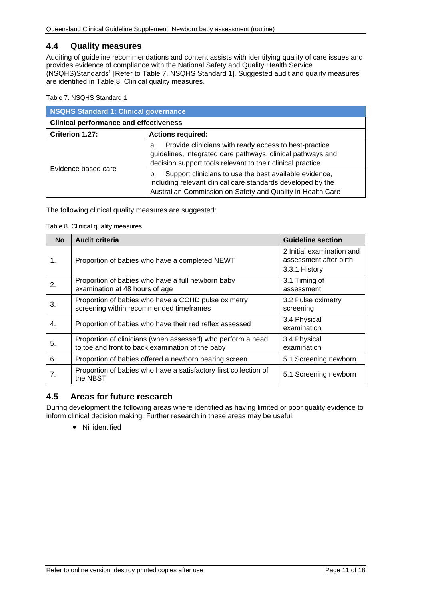#### <span id="page-10-0"></span>**4.4 Quality measures**

Auditing of guideline recommendations and content assists with identifying quality of care issues and provides evidence of compliance with the National Safety and Quality Health Service (NSQHS)Standards1 [Refer to Table 7. [NSQHS Standard 1\]](#page-10-2). Suggested audit and quality measures are identified in [Table 8. Clinical quality measures.](#page-10-3)

<span id="page-10-2"></span>Table 7. NSQHS Standard 1

| NSQHS Standard 1: Clinical governance         |                                                                                                                                                                                           |  |
|-----------------------------------------------|-------------------------------------------------------------------------------------------------------------------------------------------------------------------------------------------|--|
| <b>Clinical performance and effectiveness</b> |                                                                                                                                                                                           |  |
| Criterion 1.27:                               | <b>Actions required:</b>                                                                                                                                                                  |  |
| Evidence based care                           | Provide clinicians with ready access to best-practice<br>a.<br>guidelines, integrated care pathways, clinical pathways and<br>decision support tools relevant to their clinical practice  |  |
|                                               | Support clinicians to use the best available evidence,<br>b.<br>including relevant clinical care standards developed by the<br>Australian Commission on Safety and Quality in Health Care |  |

<span id="page-10-3"></span>The following clinical quality measures are suggested:

Table 8. Clinical quality measures

| <b>No</b> | <b>Audit criteria</b>                                                                                           | <b>Guideline section</b>                                             |
|-----------|-----------------------------------------------------------------------------------------------------------------|----------------------------------------------------------------------|
| 1.        | Proportion of babies who have a completed NEWT                                                                  | 2 Initial examination and<br>assessment after birth<br>3.3.1 History |
| 2.        | Proportion of babies who have a full newborn baby<br>examination at 48 hours of age                             | 3.1 Timing of<br>assessment                                          |
| 3.        | Proportion of babies who have a CCHD pulse oximetry<br>screening within recommended timeframes                  | 3.2 Pulse oximetry<br>screening                                      |
| 4.        | Proportion of babies who have their red reflex assessed                                                         | 3.4 Physical<br>examination                                          |
| 5.        | Proportion of clinicians (when assessed) who perform a head<br>to toe and front to back examination of the baby | 3.4 Physical<br>examination                                          |
| 6.        | Proportion of babies offered a newborn hearing screen                                                           | 5.1 Screening newborn                                                |
| 7.        | Proportion of babies who have a satisfactory first collection of<br>the NBST                                    | 5.1 Screening newborn                                                |

## <span id="page-10-1"></span>**4.5 Areas for future research**

During development the following areas where identified as having limited or poor quality evidence to inform clinical decision making. Further research in these areas may be useful.

• Nil identified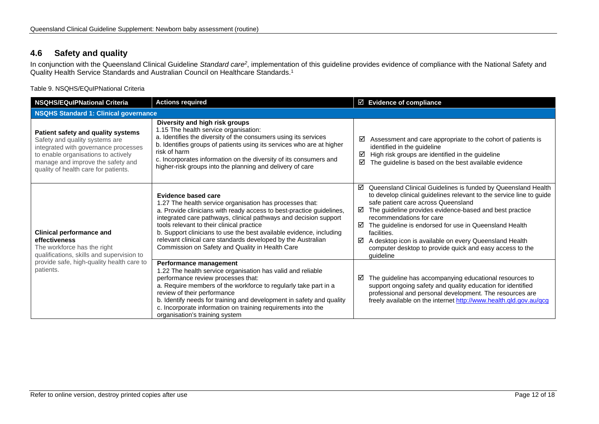# **4.6 Safety and quality**

In conjunction with the Queensland Clinical Guideline *Standard care2*, implementation of this guideline provides evidence of compliance with the National Safety and Quality Health Service Standards and Australian Council on Healthcare Standards.<sup>1</sup>

Table 9. NSQHS/EQuIPNational Criteria

<span id="page-11-1"></span><span id="page-11-0"></span>

| <b>Actions required</b><br><b>NSQHS/EQuIPNational Criteria</b>                                                                                                                                                                   |                                                                                                                                                                                                                                                                                                                                                                                                                                                                           | $\boxtimes$ Evidence of compliance                                                                                                                                                                                                                                                                                                                                                                                                                                                                  |  |
|----------------------------------------------------------------------------------------------------------------------------------------------------------------------------------------------------------------------------------|---------------------------------------------------------------------------------------------------------------------------------------------------------------------------------------------------------------------------------------------------------------------------------------------------------------------------------------------------------------------------------------------------------------------------------------------------------------------------|-----------------------------------------------------------------------------------------------------------------------------------------------------------------------------------------------------------------------------------------------------------------------------------------------------------------------------------------------------------------------------------------------------------------------------------------------------------------------------------------------------|--|
| <b>NSQHS Standard 1: Clinical governance</b>                                                                                                                                                                                     |                                                                                                                                                                                                                                                                                                                                                                                                                                                                           |                                                                                                                                                                                                                                                                                                                                                                                                                                                                                                     |  |
| Patient safety and quality systems<br>Safety and quality systems are<br>integrated with governance processes<br>to enable organisations to actively<br>manage and improve the safety and<br>quality of health care for patients. | Diversity and high risk groups<br>1.15 The health service organisation:<br>a. Identifies the diversity of the consumers using its services<br>b. Identifies groups of patients using its services who are at higher<br>risk of harm<br>c. Incorporates information on the diversity of its consumers and<br>higher-risk groups into the planning and delivery of care                                                                                                     | Assessment and care appropriate to the cohort of patients is<br>☑<br>identified in the guideline<br>High risk groups are identified in the guideline<br>☑<br>The guideline is based on the best available evidence<br>☑                                                                                                                                                                                                                                                                             |  |
| <b>Clinical performance and</b><br>effectiveness<br>The workforce has the right<br>qualifications, skills and supervision to<br>provide safe, high-quality health care to<br>patients.                                           | <b>Evidence based care</b><br>1.27 The health service organisation has processes that:<br>a. Provide clinicians with ready access to best-practice guidelines,<br>integrated care pathways, clinical pathways and decision support<br>tools relevant to their clinical practice<br>b. Support clinicians to use the best available evidence, including<br>relevant clinical care standards developed by the Australian<br>Commission on Safety and Quality in Health Care | Queensland Clinical Guidelines is funded by Queensland Health<br>☑<br>to develop clinical guidelines relevant to the service line to guide<br>safe patient care across Queensland<br>The guideline provides evidence-based and best practice<br>☑<br>recommendations for care<br>The guideline is endorsed for use in Queensland Health<br>☑<br>facilities.<br>A desktop icon is available on every Queensland Health<br>☑<br>computer desktop to provide quick and easy access to the<br>quideline |  |
|                                                                                                                                                                                                                                  | Performance management<br>1.22 The health service organisation has valid and reliable<br>performance review processes that:<br>a. Require members of the workforce to regularly take part in a<br>review of their performance<br>b. Identify needs for training and development in safety and quality<br>c. Incorporate information on training requirements into the<br>organisation's training system                                                                   | The guideline has accompanying educational resources to<br>☑<br>support ongoing safety and quality education for identified<br>professional and personal development. The resources are<br>freely available on the internet http://www.health.qld.gov.au/qcg                                                                                                                                                                                                                                        |  |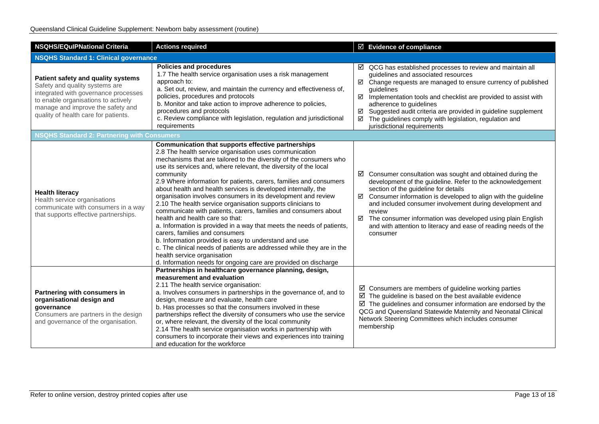| <b>Actions required</b><br><b>NSQHS/EQuIPNational Criteria</b>                                                                                                                                                                   |                                                                                                                                                                                                                                                                                                                                                                                                                                                                                                                                                                                                                                                                                                                                                                                                                                                                                                                                                                                                 | $\boxtimes$ Evidence of compliance                                                                                                                                                                                                                                                                                                                                                                                                                                              |  |  |
|----------------------------------------------------------------------------------------------------------------------------------------------------------------------------------------------------------------------------------|-------------------------------------------------------------------------------------------------------------------------------------------------------------------------------------------------------------------------------------------------------------------------------------------------------------------------------------------------------------------------------------------------------------------------------------------------------------------------------------------------------------------------------------------------------------------------------------------------------------------------------------------------------------------------------------------------------------------------------------------------------------------------------------------------------------------------------------------------------------------------------------------------------------------------------------------------------------------------------------------------|---------------------------------------------------------------------------------------------------------------------------------------------------------------------------------------------------------------------------------------------------------------------------------------------------------------------------------------------------------------------------------------------------------------------------------------------------------------------------------|--|--|
| <b>NSQHS Standard 1: Clinical governance</b>                                                                                                                                                                                     |                                                                                                                                                                                                                                                                                                                                                                                                                                                                                                                                                                                                                                                                                                                                                                                                                                                                                                                                                                                                 |                                                                                                                                                                                                                                                                                                                                                                                                                                                                                 |  |  |
| Patient safety and quality systems<br>Safety and quality systems are<br>integrated with governance processes<br>to enable organisations to actively<br>manage and improve the safety and<br>quality of health care for patients. | <b>Policies and procedures</b><br>1.7 The health service organisation uses a risk management<br>approach to:<br>a. Set out, review, and maintain the currency and effectiveness of,<br>policies, procedures and protocols<br>b. Monitor and take action to improve adherence to policies,<br>procedures and protocols<br>c. Review compliance with legislation, regulation and jurisdictional<br>requirements                                                                                                                                                                                                                                                                                                                                                                                                                                                                                                                                                                                   | $\boxtimes$ QCG has established processes to review and maintain all<br>guidelines and associated resources<br>Change requests are managed to ensure currency of published<br>☑<br>guidelines<br>$\boxtimes$ Implementation tools and checklist are provided to assist with<br>adherence to guidelines<br>Suggested audit criteria are provided in guideline supplement<br>☑<br>The guidelines comply with legislation, regulation and<br>☑<br>jurisdictional requirements      |  |  |
| <b>NSQHS Standard 2: Partnering with Consumers</b>                                                                                                                                                                               |                                                                                                                                                                                                                                                                                                                                                                                                                                                                                                                                                                                                                                                                                                                                                                                                                                                                                                                                                                                                 |                                                                                                                                                                                                                                                                                                                                                                                                                                                                                 |  |  |
| <b>Health literacy</b><br>Health service organisations<br>communicate with consumers in a way<br>that supports effective partnerships.                                                                                           | Communication that supports effective partnerships<br>2.8 The health service organisation uses communication<br>mechanisms that are tailored to the diversity of the consumers who<br>use its services and, where relevant, the diversity of the local<br>community<br>2.9 Where information for patients, carers, families and consumers<br>about health and health services is developed internally, the<br>organisation involves consumers in its development and review<br>2.10 The health service organisation supports clinicians to<br>communicate with patients, carers, families and consumers about<br>health and health care so that:<br>a. Information is provided in a way that meets the needs of patients,<br>carers, families and consumers<br>b. Information provided is easy to understand and use<br>c. The clinical needs of patients are addressed while they are in the<br>health service organisation<br>d. Information needs for ongoing care are provided on discharge | $\boxtimes$ Consumer consultation was sought and obtained during the<br>development of the guideline. Refer to the acknowledgement<br>section of the guideline for details<br>$\boxtimes$ Consumer information is developed to align with the guideline<br>and included consumer involvement during development and<br>review<br>☑<br>The consumer information was developed using plain English<br>and with attention to literacy and ease of reading needs of the<br>consumer |  |  |
| Partnering with consumers in<br>organisational design and<br>governance<br>Consumers are partners in the design<br>and governance of the organisation.                                                                           | Partnerships in healthcare governance planning, design,<br>measurement and evaluation<br>2.11 The health service organisation:<br>a. Involves consumers in partnerships in the governance of, and to<br>design, measure and evaluate, health care<br>b. Has processes so that the consumers involved in these<br>partnerships reflect the diversity of consumers who use the service<br>or, where relevant, the diversity of the local community<br>2.14 The health service organisation works in partnership with<br>consumers to incorporate their views and experiences into training<br>and education for the workforce                                                                                                                                                                                                                                                                                                                                                                     | $\boxtimes$ Consumers are members of guideline working parties<br>$\boxtimes$ The guideline is based on the best available evidence<br>$\boxtimes$ The guidelines and consumer information are endorsed by the<br>QCG and Queensland Statewide Maternity and Neonatal Clinical<br>Network Steering Committees which includes consumer<br>membership                                                                                                                             |  |  |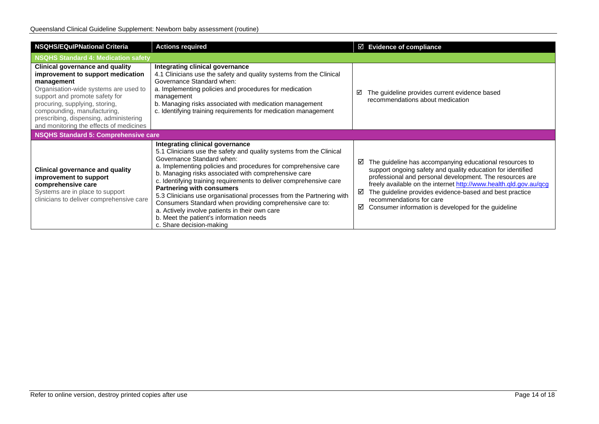| <b>NSQHS/EQulPNational Criteria</b>                                                                                                                                                                                                                                                                                 | <b>Actions required</b>                                                                                                                                                                                                                                                                                                                                                                                                                                                                                                                                                                                                              |             | $\boxtimes$ Evidence of compliance                                                                                                                                                                                                                                                                                                                                                                    |
|---------------------------------------------------------------------------------------------------------------------------------------------------------------------------------------------------------------------------------------------------------------------------------------------------------------------|--------------------------------------------------------------------------------------------------------------------------------------------------------------------------------------------------------------------------------------------------------------------------------------------------------------------------------------------------------------------------------------------------------------------------------------------------------------------------------------------------------------------------------------------------------------------------------------------------------------------------------------|-------------|-------------------------------------------------------------------------------------------------------------------------------------------------------------------------------------------------------------------------------------------------------------------------------------------------------------------------------------------------------------------------------------------------------|
| <b>NSQHS Standard 4: Medication safety</b>                                                                                                                                                                                                                                                                          |                                                                                                                                                                                                                                                                                                                                                                                                                                                                                                                                                                                                                                      |             |                                                                                                                                                                                                                                                                                                                                                                                                       |
| Clinical governance and quality<br>improvement to support medication<br>management<br>Organisation-wide systems are used to<br>support and promote safety for<br>procuring, supplying, storing,<br>compounding, manufacturing,<br>prescribing, dispensing, administering<br>and monitoring the effects of medicines | Integrating clinical governance<br>4.1 Clinicians use the safety and quality systems from the Clinical<br>Governance Standard when:<br>a. Implementing policies and procedures for medication<br>management<br>b. Managing risks associated with medication management<br>c. Identifying training requirements for medication management                                                                                                                                                                                                                                                                                             | ☑           | The guideline provides current evidence based<br>recommendations about medication                                                                                                                                                                                                                                                                                                                     |
| NSQHS Standard 5: Comprehensive care                                                                                                                                                                                                                                                                                |                                                                                                                                                                                                                                                                                                                                                                                                                                                                                                                                                                                                                                      |             |                                                                                                                                                                                                                                                                                                                                                                                                       |
| Clinical governance and quality<br>improvement to support<br>comprehensive care<br>Systems are in place to support<br>clinicians to deliver comprehensive care                                                                                                                                                      | Integrating clinical governance<br>5.1 Clinicians use the safety and quality systems from the Clinical<br>Governance Standard when:<br>a. Implementing policies and procedures for comprehensive care<br>b. Managing risks associated with comprehensive care<br>c. Identifying training requirements to deliver comprehensive care<br><b>Partnering with consumers</b><br>5.3 Clinicians use organisational processes from the Partnering with<br>Consumers Standard when providing comprehensive care to:<br>a. Actively involve patients in their own care<br>b. Meet the patient's information needs<br>c. Share decision-making | ☑<br>☑<br>☑ | The guideline has accompanying educational resources to<br>support ongoing safety and quality education for identified<br>professional and personal development. The resources are<br>freely available on the internet http://www.health.qld.gov.au/qcg<br>The guideline provides evidence-based and best practice<br>recommendations for care<br>Consumer information is developed for the guideline |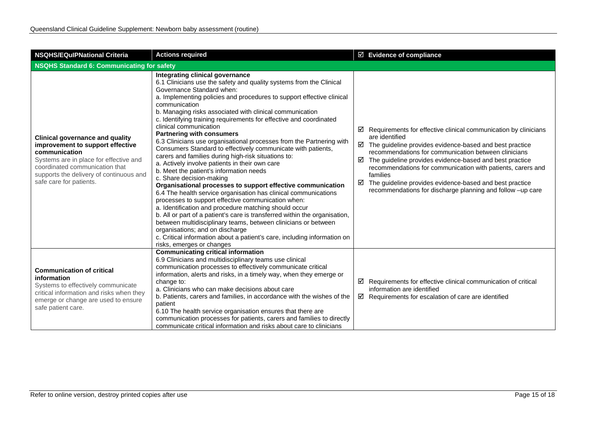| <b>Actions required</b><br><b>NSQHS/EQulPNational Criteria</b>                                                                                                                                                                                |                                                                                                                                                                                                                                                                                                                                                                                                                                                                                                                                                                                                                                                                                                                                                                                                                                                                                                                                                                                                                                                                                                                                                                                                                                                                                                    | $\boxtimes$ Evidence of compliance                                                                                                                                                                                                                                                                                                                                                                                                                                                                    |  |
|-----------------------------------------------------------------------------------------------------------------------------------------------------------------------------------------------------------------------------------------------|----------------------------------------------------------------------------------------------------------------------------------------------------------------------------------------------------------------------------------------------------------------------------------------------------------------------------------------------------------------------------------------------------------------------------------------------------------------------------------------------------------------------------------------------------------------------------------------------------------------------------------------------------------------------------------------------------------------------------------------------------------------------------------------------------------------------------------------------------------------------------------------------------------------------------------------------------------------------------------------------------------------------------------------------------------------------------------------------------------------------------------------------------------------------------------------------------------------------------------------------------------------------------------------------------|-------------------------------------------------------------------------------------------------------------------------------------------------------------------------------------------------------------------------------------------------------------------------------------------------------------------------------------------------------------------------------------------------------------------------------------------------------------------------------------------------------|--|
| <b>NSQHS Standard 6: Communicating for safety</b>                                                                                                                                                                                             |                                                                                                                                                                                                                                                                                                                                                                                                                                                                                                                                                                                                                                                                                                                                                                                                                                                                                                                                                                                                                                                                                                                                                                                                                                                                                                    |                                                                                                                                                                                                                                                                                                                                                                                                                                                                                                       |  |
| <b>Clinical governance and quality</b><br>improvement to support effective<br>communication<br>Systems are in place for effective and<br>coordinated communication that<br>supports the delivery of continuous and<br>safe care for patients. | Integrating clinical governance<br>6.1 Clinicians use the safety and quality systems from the Clinical<br>Governance Standard when:<br>a. Implementing policies and procedures to support effective clinical<br>communication<br>b. Managing risks associated with clinical communication<br>c. Identifying training requirements for effective and coordinated<br>clinical communication<br><b>Partnering with consumers</b><br>6.3 Clinicians use organisational processes from the Partnering with<br>Consumers Standard to effectively communicate with patients,<br>carers and families during high-risk situations to:<br>a. Actively involve patients in their own care<br>b. Meet the patient's information needs<br>c. Share decision-making<br>Organisational processes to support effective communication<br>6.4 The health service organisation has clinical communications<br>processes to support effective communication when:<br>a. Identification and procedure matching should occur<br>b. All or part of a patient's care is transferred within the organisation,<br>between multidisciplinary teams, between clinicians or between<br>organisations; and on discharge<br>c. Critical information about a patient's care, including information on<br>risks, emerges or changes | $\boxtimes$ Requirements for effective clinical communication by clinicians<br>are identified<br>$\boxtimes$ The guideline provides evidence-based and best practice<br>recommendations for communication between clinicians<br>☑<br>The guideline provides evidence-based and best practice<br>recommendations for communication with patients, carers and<br>families<br>☑<br>The guideline provides evidence-based and best practice<br>recommendations for discharge planning and follow -up care |  |
| <b>Communication of critical</b><br>information<br>Systems to effectively communicate<br>critical information and risks when they<br>emerge or change are used to ensure<br>safe patient care.                                                | <b>Communicating critical information</b><br>6.9 Clinicians and multidisciplinary teams use clinical<br>communication processes to effectively communicate critical<br>information, alerts and risks, in a timely way, when they emerge or<br>change to:<br>a. Clinicians who can make decisions about care<br>b. Patients, carers and families, in accordance with the wishes of the<br>patient<br>6.10 The health service organisation ensures that there are<br>communication processes for patients, carers and families to directly<br>communicate critical information and risks about care to clinicians                                                                                                                                                                                                                                                                                                                                                                                                                                                                                                                                                                                                                                                                                    | $\boxtimes$ Requirements for effective clinical communication of critical<br>information are identified<br>$\boxtimes$ Requirements for escalation of care are identified                                                                                                                                                                                                                                                                                                                             |  |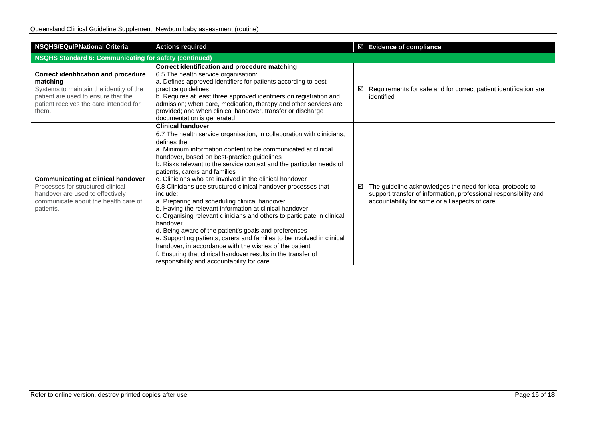| <b>NSQHS/EQuIPNational Criteria</b>                                                                                                                                                          | <b>Actions required</b>                                                                                                                                                                                                                                                                                                                                                                                                                                                                                                                                                                                                                                                                                                                                                                                                                                                                                                                                                                             | ☑ Evidence of compliance                                                                                                                                                              |  |
|----------------------------------------------------------------------------------------------------------------------------------------------------------------------------------------------|-----------------------------------------------------------------------------------------------------------------------------------------------------------------------------------------------------------------------------------------------------------------------------------------------------------------------------------------------------------------------------------------------------------------------------------------------------------------------------------------------------------------------------------------------------------------------------------------------------------------------------------------------------------------------------------------------------------------------------------------------------------------------------------------------------------------------------------------------------------------------------------------------------------------------------------------------------------------------------------------------------|---------------------------------------------------------------------------------------------------------------------------------------------------------------------------------------|--|
| <b>NSQHS Standard 6: Communicating for safety (continued)</b>                                                                                                                                |                                                                                                                                                                                                                                                                                                                                                                                                                                                                                                                                                                                                                                                                                                                                                                                                                                                                                                                                                                                                     |                                                                                                                                                                                       |  |
| <b>Correct identification and procedure</b><br>matching<br>Systems to maintain the identity of the<br>patient are used to ensure that the<br>patient receives the care intended for<br>them. | Correct identification and procedure matching<br>6.5 The health service organisation:<br>a. Defines approved identifiers for patients according to best-<br>practice quidelines<br>b. Requires at least three approved identifiers on registration and<br>admission; when care, medication, therapy and other services are<br>provided; and when clinical handover, transfer or discharge<br>documentation is generated                                                                                                                                                                                                                                                                                                                                                                                                                                                                                                                                                                             | Requirements for safe and for correct patient identification are<br>⊻<br>identified                                                                                                   |  |
| <b>Communicating at clinical handover</b><br>Processes for structured clinical<br>handover are used to effectively<br>communicate about the health care of<br>patients.                      | <b>Clinical handover</b><br>6.7 The health service organisation, in collaboration with clinicians,<br>defines the:<br>a. Minimum information content to be communicated at clinical<br>handover, based on best-practice guidelines<br>b. Risks relevant to the service context and the particular needs of<br>patients, carers and families<br>c. Clinicians who are involved in the clinical handover<br>6.8 Clinicians use structured clinical handover processes that<br>include:<br>a. Preparing and scheduling clinical handover<br>b. Having the relevant information at clinical handover<br>c. Organising relevant clinicians and others to participate in clinical<br>handover<br>d. Being aware of the patient's goals and preferences<br>e. Supporting patients, carers and families to be involved in clinical<br>handover, in accordance with the wishes of the patient<br>f. Ensuring that clinical handover results in the transfer of<br>responsibility and accountability for care | The guideline acknowledges the need for local protocols to<br>☑<br>support transfer of information, professional responsibility and<br>accountability for some or all aspects of care |  |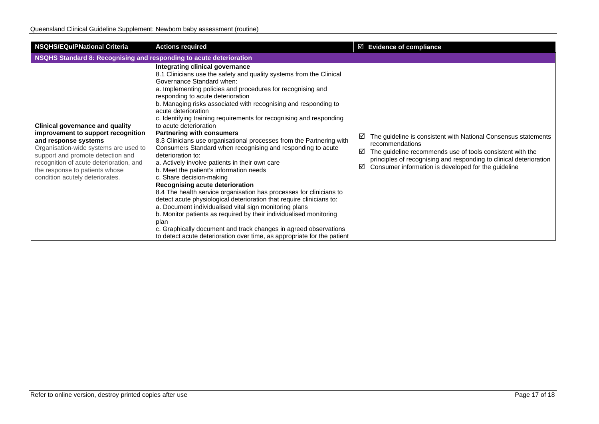| <b>NSQHS/EQuIPNational Criteria</b>                                                                                                                                                                                                                                                                | <b>Actions required</b>                                                                                                                                                                                                                                                                                                                                                                                                                                                                                                                                                                                                                                                                                                                                                                                                                                                                                                                                                                                                                                                                                                                                                                                                              | $\boxtimes$ Evidence of compliance                                                                                                                                                                                                                                                         |  |  |
|----------------------------------------------------------------------------------------------------------------------------------------------------------------------------------------------------------------------------------------------------------------------------------------------------|--------------------------------------------------------------------------------------------------------------------------------------------------------------------------------------------------------------------------------------------------------------------------------------------------------------------------------------------------------------------------------------------------------------------------------------------------------------------------------------------------------------------------------------------------------------------------------------------------------------------------------------------------------------------------------------------------------------------------------------------------------------------------------------------------------------------------------------------------------------------------------------------------------------------------------------------------------------------------------------------------------------------------------------------------------------------------------------------------------------------------------------------------------------------------------------------------------------------------------------|--------------------------------------------------------------------------------------------------------------------------------------------------------------------------------------------------------------------------------------------------------------------------------------------|--|--|
| NSQHS Standard 8: Recognising and responding to acute deterioration                                                                                                                                                                                                                                |                                                                                                                                                                                                                                                                                                                                                                                                                                                                                                                                                                                                                                                                                                                                                                                                                                                                                                                                                                                                                                                                                                                                                                                                                                      |                                                                                                                                                                                                                                                                                            |  |  |
| <b>Clinical governance and quality</b><br>improvement to support recognition<br>and response systems<br>Organisation-wide systems are used to<br>support and promote detection and<br>recognition of acute deterioration, and<br>the response to patients whose<br>condition acutely deteriorates. | Integrating clinical governance<br>8.1 Clinicians use the safety and quality systems from the Clinical<br>Governance Standard when:<br>a. Implementing policies and procedures for recognising and<br>responding to acute deterioration<br>b. Managing risks associated with recognising and responding to<br>acute deterioration<br>c. Identifying training requirements for recognising and responding<br>to acute deterioration<br><b>Partnering with consumers</b><br>8.3 Clinicians use organisational processes from the Partnering with<br>Consumers Standard when recognising and responding to acute<br>deterioration to:<br>a. Actively involve patients in their own care<br>b. Meet the patient's information needs<br>c. Share decision-making<br>Recognising acute deterioration<br>8.4 The health service organisation has processes for clinicians to<br>detect acute physiological deterioration that require clinicians to:<br>a. Document individualised vital sign monitoring plans<br>b. Monitor patients as required by their individualised monitoring<br>plan<br>c. Graphically document and track changes in agreed observations<br>to detect acute deterioration over time, as appropriate for the patient | The guideline is consistent with National Consensus statements<br>☑<br>recommendations<br>The guideline recommends use of tools consistent with the<br>☑<br>principles of recognising and responding to clinical deterioration<br>Consumer information is developed for the guideline<br>☑ |  |  |